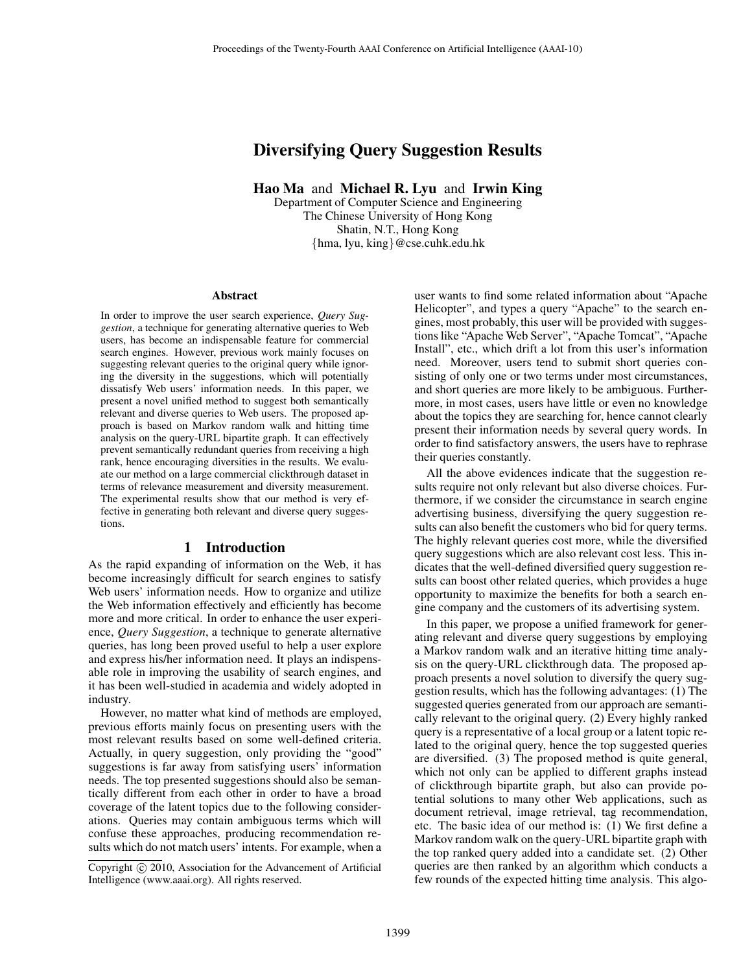# Diversifying Query Suggestion Results

Hao Ma and Michael R. Lyu and Irwin King

Department of Computer Science and Engineering The Chinese University of Hong Kong Shatin, N.T., Hong Kong {hma, lyu, king}@cse.cuhk.edu.hk

#### Abstract

In order to improve the user search experience, *Query Suggestion*, a technique for generating alternative queries to Web users, has become an indispensable feature for commercial search engines. However, previous work mainly focuses on suggesting relevant queries to the original query while ignoring the diversity in the suggestions, which will potentially dissatisfy Web users' information needs. In this paper, we present a novel unified method to suggest both semantically relevant and diverse queries to Web users. The proposed approach is based on Markov random walk and hitting time analysis on the query-URL bipartite graph. It can effectively prevent semantically redundant queries from receiving a high rank, hence encouraging diversities in the results. We evaluate our method on a large commercial clickthrough dataset in terms of relevance measurement and diversity measurement. The experimental results show that our method is very effective in generating both relevant and diverse query suggestions.

# 1 Introduction

As the rapid expanding of information on the Web, it has become increasingly difficult for search engines to satisfy Web users' information needs. How to organize and utilize the Web information effectively and efficiently has become more and more critical. In order to enhance the user experience, *Query Suggestion*, a technique to generate alternative queries, has long been proved useful to help a user explore and express his/her information need. It plays an indispensable role in improving the usability of search engines, and it has been well-studied in academia and widely adopted in industry.

However, no matter what kind of methods are employed, previous efforts mainly focus on presenting users with the most relevant results based on some well-defined criteria. Actually, in query suggestion, only providing the "good" suggestions is far away from satisfying users' information needs. The top presented suggestions should also be semantically different from each other in order to have a broad coverage of the latent topics due to the following considerations. Queries may contain ambiguous terms which will confuse these approaches, producing recommendation results which do not match users' intents. For example, when a user wants to find some related information about "Apache Helicopter", and types a query "Apache" to the search engines, most probably, this user will be provided with suggestions like "Apache Web Server", "Apache Tomcat", "Apache Install", etc., which drift a lot from this user's information need. Moreover, users tend to submit short queries consisting of only one or two terms under most circumstances, and short queries are more likely to be ambiguous. Furthermore, in most cases, users have little or even no knowledge about the topics they are searching for, hence cannot clearly present their information needs by several query words. In order to find satisfactory answers, the users have to rephrase their queries constantly.

All the above evidences indicate that the suggestion results require not only relevant but also diverse choices. Furthermore, if we consider the circumstance in search engine advertising business, diversifying the query suggestion results can also benefit the customers who bid for query terms. The highly relevant queries cost more, while the diversified query suggestions which are also relevant cost less. This indicates that the well-defined diversified query suggestion results can boost other related queries, which provides a huge opportunity to maximize the benefits for both a search engine company and the customers of its advertising system.

In this paper, we propose a unified framework for generating relevant and diverse query suggestions by employing a Markov random walk and an iterative hitting time analysis on the query-URL clickthrough data. The proposed approach presents a novel solution to diversify the query suggestion results, which has the following advantages: (1) The suggested queries generated from our approach are semantically relevant to the original query. (2) Every highly ranked query is a representative of a local group or a latent topic related to the original query, hence the top suggested queries are diversified. (3) The proposed method is quite general, which not only can be applied to different graphs instead of clickthrough bipartite graph, but also can provide potential solutions to many other Web applications, such as document retrieval, image retrieval, tag recommendation, etc. The basic idea of our method is: (1) We first define a Markov random walk on the query-URL bipartite graph with the top ranked query added into a candidate set. (2) Other queries are then ranked by an algorithm which conducts a few rounds of the expected hitting time analysis. This algo-

Copyright  $\odot$  2010, Association for the Advancement of Artificial Intelligence (www.aaai.org). All rights reserved.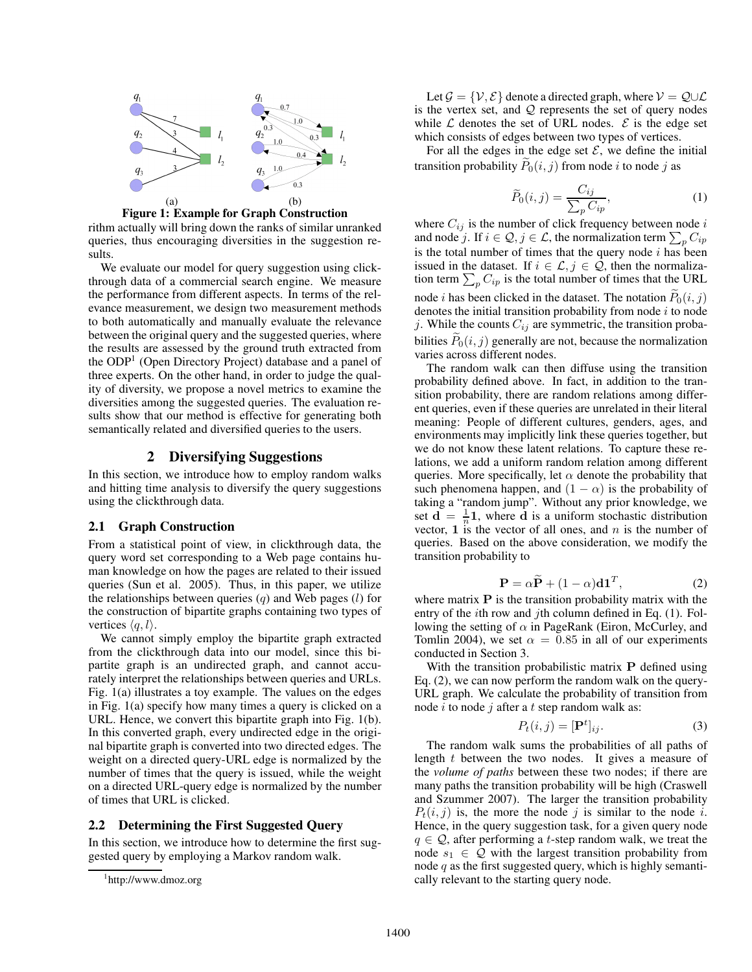



sults. We evaluate our model for query suggestion using clickthrough data of a commercial search engine. We measure the performance from different aspects. In terms of the relevance measurement, we design two measurement methods to both automatically and manually evaluate the relevance between the original query and the suggested queries, where the results are assessed by the ground truth extracted from the ODP1 (Open Directory Project) database and a panel of three experts. On the other hand, in order to judge the quality of diversity, we propose a novel metrics to examine the diversities among the suggested queries. The evaluation results show that our method is effective for generating both semantically related and diversified queries to the users.

### 2 Diversifying Suggestions

In this section, we introduce how to employ random walks and hitting time analysis to diversify the query suggestions using the clickthrough data.

### 2.1 Graph Construction

From a statistical point of view, in clickthrough data, the query word set corresponding to a Web page contains human knowledge on how the pages are related to their issued queries (Sun et al. 2005). Thus, in this paper, we utilize the relationships between queries  $(q)$  and Web pages  $(l)$  for the construction of bipartite graphs containing two types of vertices  $\langle q, l \rangle$ .

We cannot simply employ the bipartite graph extracted from the clickthrough data into our model, since this bipartite graph is an undirected graph, and cannot accurately interpret the relationships between queries and URLs. Fig. 1(a) illustrates a toy example. The values on the edges in Fig. 1(a) specify how many times a query is clicked on a URL. Hence, we convert this bipartite graph into Fig. 1(b). In this converted graph, every undirected edge in the original bipartite graph is converted into two directed edges. The weight on a directed query-URL edge is normalized by the number of times that the query is issued, while the weight on a directed URL-query edge is normalized by the number of times that URL is clicked.

# 2.2 Determining the First Suggested Query

In this section, we introduce how to determine the first suggested query by employing a Markov random walk.

Let  $\mathcal{G} = \{V, \mathcal{E}\}\$ denote a directed graph, where  $V = \mathcal{Q} \cup \mathcal{L}$ is the vertex set, and  $Q$  represents the set of query nodes while  $\mathcal L$  denotes the set of URL nodes.  $\mathcal E$  is the edge set which consists of edges between two types of vertices.

For all the edges in the edge set  $\mathcal{E}$ , we define the initial transition probability  $P_0(i, j)$  from node i to node j as

$$
\widetilde{P}_0(i,j) = \frac{C_{ij}}{\sum_p C_{ip}},\tag{1}
$$

where  $C_{ij}$  is the number of click frequency between node i and node j. If  $i \in \mathcal{Q}, j \in \mathcal{L}$ , the normalization term  $\sum_p C_{ip}$ is the total number of times that the query node  $i$  has been issued in the dataset. If  $i \in \mathcal{L}, j \in \mathcal{Q}$ , then the normalization term  $\sum_{p} C_{ip}$  is the total number of times that the URL node *i* has been clicked in the dataset. The notation  $P_0(i, j)$ denotes the initial transition probability from node  $i$  to node j. While the counts  $C_{ij}$  are symmetric, the transition probabilities  $P_0(i, j)$  generally are not, because the normalization varies across different nodes.

The random walk can then diffuse using the transition probability defined above. In fact, in addition to the transition probability, there are random relations among different queries, even if these queries are unrelated in their literal meaning: People of different cultures, genders, ages, and environments may implicitly link these queries together, but we do not know these latent relations. To capture these relations, we add a uniform random relation among different queries. More specifically, let  $\alpha$  denote the probability that such phenomena happen, and  $(1 - \alpha)$  is the probability of taking a "random jump". Without any prior knowledge, we set  $\mathbf{d} = \frac{1}{n}\mathbf{1}$ , where  $\mathbf{d}$  is a uniform stochastic distribution vector, 1 is the vector of all ones, and  $n$  is the number of queries. Based on the above consideration, we modify the transition probability to

$$
\mathbf{P} = \alpha \widetilde{\mathbf{P}} + (1 - \alpha) \mathbf{d} \mathbf{1}^T, \tag{2}
$$

where matrix  $P$  is the transition probability matrix with the entry of the *i*th row and *j*th column defined in Eq.  $(1)$ . Following the setting of  $\alpha$  in PageRank (Eiron, McCurley, and Tomlin 2004), we set  $\alpha = 0.85$  in all of our experiments conducted in Section 3.

With the transition probabilistic matrix  $P$  defined using Eq. (2), we can now perform the random walk on the query-URL graph. We calculate the probability of transition from node  $i$  to node  $j$  after a  $t$  step random walk as:

$$
P_t(i,j) = [\mathbf{P}^t]_{ij}.
$$
 (3)

The random walk sums the probabilities of all paths of length t between the two nodes. It gives a measure of the *volume of paths* between these two nodes; if there are many paths the transition probability will be high (Craswell and Szummer 2007). The larger the transition probability  $P_t(i, j)$  is, the more the node j is similar to the node i. Hence, in the query suggestion task, for a given query node  $q \in \mathcal{Q}$ , after performing a t-step random walk, we treat the node  $s_1 \in \mathcal{Q}$  with the largest transition probability from node  $q$  as the first suggested query, which is highly semantically relevant to the starting query node.

<sup>1</sup> http://www.dmoz.org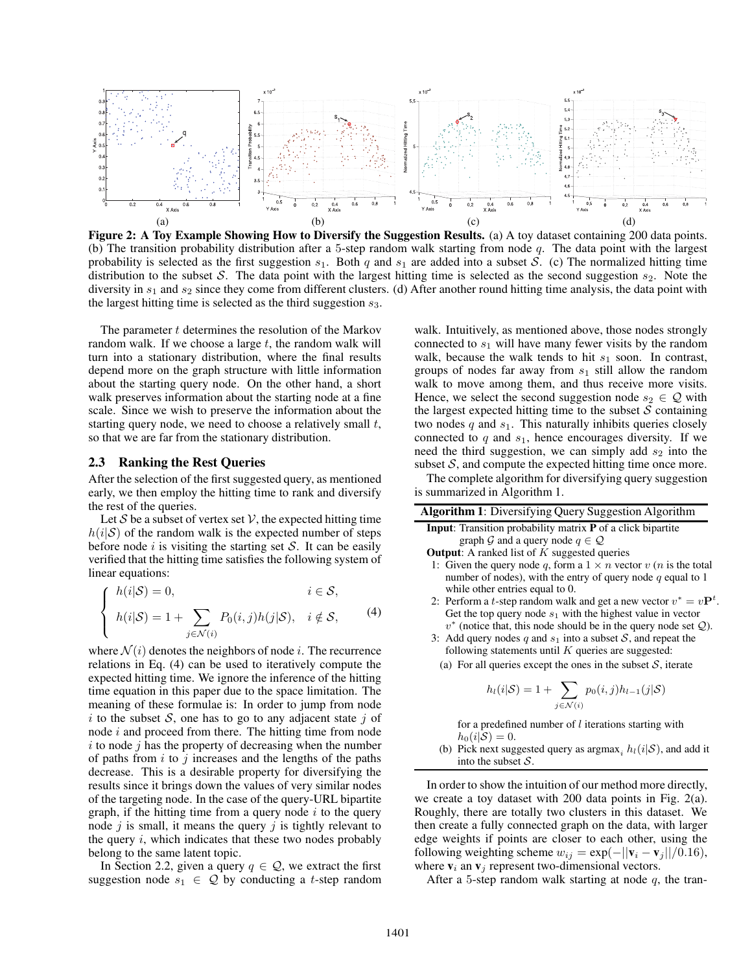

Figure 2: A Toy Example Showing How to Diversify the Suggestion Results. (a) A toy dataset containing 200 data points. (b) The transition probability distribution after a 5-step random walk starting from node  $q$ . The data point with the largest probability is selected as the first suggestion  $s_1$ . Both q and  $s_1$  are added into a subset S. (c) The normalized hitting time distribution to the subset S. The data point with the largest hitting time is selected as the second suggestion  $s_2$ . Note the diversity in  $s_1$  and  $s_2$  since they come from different clusters. (d) After another round hitting time analysis, the data point with the largest hitting time is selected as the third suggestion  $s_3$ .

The parameter  $t$  determines the resolution of the Markov random walk. If we choose a large  $t$ , the random walk will turn into a stationary distribution, where the final results depend more on the graph structure with little information about the starting query node. On the other hand, a short walk preserves information about the starting node at a fine scale. Since we wish to preserve the information about the starting query node, we need to choose a relatively small  $t$ , so that we are far from the stationary distribution.

#### 2.3 Ranking the Rest Queries

After the selection of the first suggested query, as mentioned early, we then employ the hitting time to rank and diversify the rest of the queries.

Let S be a subset of vertex set  $V$ , the expected hitting time  $h(i|\mathcal{S})$  of the random walk is the expected number of steps before node i is visiting the starting set  $S$ . It can be easily verified that the hitting time satisfies the following system of linear equations:

$$
\begin{cases}\nh(i|\mathcal{S}) = 0, & i \in \mathcal{S}, \\
h(i|\mathcal{S}) = 1 + \sum_{j \in \mathcal{N}(i)} P_0(i,j)h(j|\mathcal{S}), & i \notin \mathcal{S},\n\end{cases}
$$
\n(4)

where  $\mathcal{N}(i)$  denotes the neighbors of node i. The recurrence relations in Eq. (4) can be used to iteratively compute the expected hitting time. We ignore the inference of the hitting time equation in this paper due to the space limitation. The meaning of these formulae is: In order to jump from node i to the subset S, one has to go to any adjacent state j of node i and proceed from there. The hitting time from node  $i$  to node  $j$  has the property of decreasing when the number of paths from  $i$  to  $j$  increases and the lengths of the paths decrease. This is a desirable property for diversifying the results since it brings down the values of very similar nodes of the targeting node. In the case of the query-URL bipartite graph, if the hitting time from a query node  $i$  to the query node  $j$  is small, it means the query  $j$  is tightly relevant to the query  $i$ , which indicates that these two nodes probably belong to the same latent topic.

In Section 2.2, given a query  $q \in \mathcal{Q}$ , we extract the first suggestion node  $s_1 \in \mathcal{Q}$  by conducting a t-step random

walk. Intuitively, as mentioned above, those nodes strongly connected to  $s_1$  will have many fewer visits by the random walk, because the walk tends to hit  $s_1$  soon. In contrast, groups of nodes far away from  $s_1$  still allow the random walk to move among them, and thus receive more visits. Hence, we select the second suggestion node  $s_2 \in \mathcal{Q}$  with the largest expected hitting time to the subset  $S$  containing two nodes  $q$  and  $s_1$ . This naturally inhibits queries closely connected to  $q$  and  $s_1$ , hence encourages diversity. If we need the third suggestion, we can simply add  $s_2$  into the subset  $S$ , and compute the expected hitting time once more.

The complete algorithm for diversifying query suggestion is summarized in Algorithm 1.

| Algorithm 1: Diversifying Query Suggestion Algorithm                                                            |
|-----------------------------------------------------------------------------------------------------------------|
| <b>Input:</b> Transition probability matrix <b>P</b> of a click bipartite                                       |
| graph G and a query node $q \in \mathcal{Q}$                                                                    |
| <b>Output:</b> A ranked list of $K$ suggested queries                                                           |
| 1: Given the query node q, form a $1 \times n$ vector $v(n)$ is the total                                       |
| number of nodes), with the entry of query node $q$ equal to 1                                                   |
| while other entries equal to 0.                                                                                 |
| 2: Perform a <i>t</i> -step random walk and get a new vector $v^* = vP^t$                                       |
| Get the top query node $s_1$ with the highest value in vector                                                   |
| $v^*$ (notice that, this node should be in the query node set $Q$ ).                                            |
| 3: Add query nodes q and $s_1$ into a subset S, and repeat the                                                  |
| following statements until $K$ queries are suggested:                                                           |
| (a) For all queries except the ones in the subset $S$ , iterate                                                 |
|                                                                                                                 |
| $h_l(i \mathcal{S}) = 1 + \sum p_0(i,j)h_{l-1}(j \mathcal{S})$<br>$i \in \mathcal{N}(i)$                        |
|                                                                                                                 |
| for a predefined number of $l$ iterations starting with                                                         |
| $h_0(i S) = 0.$                                                                                                 |
| (b) Pick next suggested query as argmax, $h_l(i S)$ , and add it                                                |
| into the subset $S$ .                                                                                           |
| In order to show the intuition of our method more directly,<br>$\sim$ $\sim$ $\sim$ $\sim$ $\sim$ $\sim$ $\sim$ |

.

we create a toy dataset with 200 data points in Fig. 2(a). Roughly, there are totally two clusters in this dataset. We then create a fully connected graph on the data, with larger edge weights if points are closer to each other, using the following weighting scheme  $w_{ij} = \exp(-||\mathbf{v}_i - \mathbf{v}_j||/0.16)$ , where  $v_i$  an  $v_j$  represent two-dimensional vectors.

After a 5-step random walk starting at node  $q$ , the tran-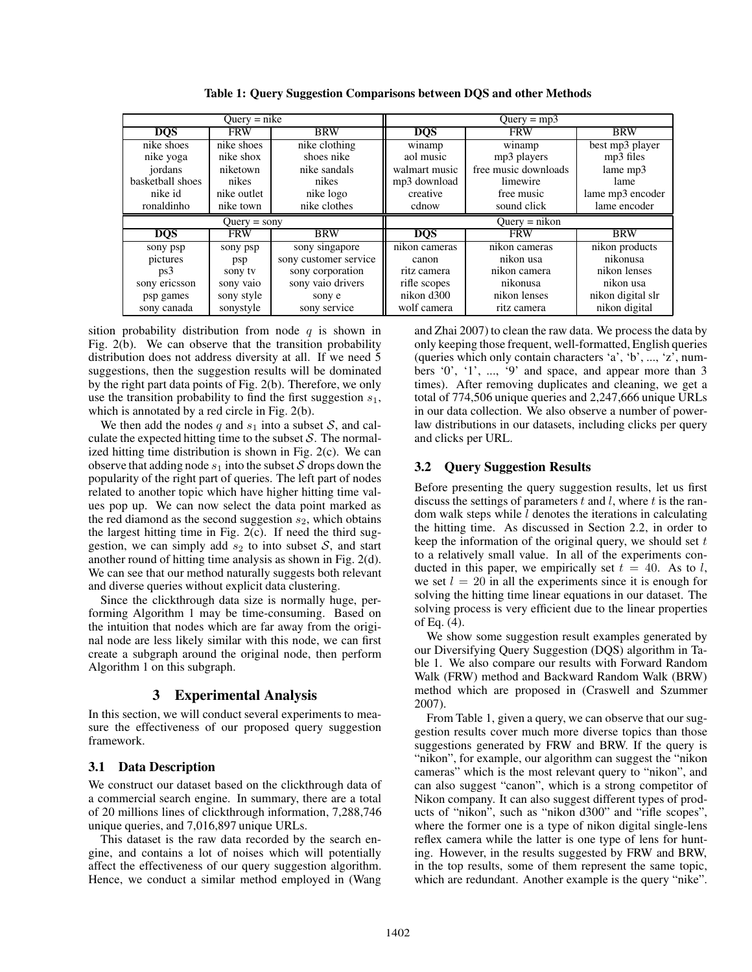| $Query = nike$   |                |                       | $Query = mp3$ |                      |                   |
|------------------|----------------|-----------------------|---------------|----------------------|-------------------|
| <b>DOS</b>       | <b>FRW</b>     | <b>BRW</b>            | <b>DQS</b>    | <b>FRW</b>           | <b>BRW</b>        |
| nike shoes       | nike shoes     | nike clothing         | winamp        | winamp               | best mp3 player   |
| nike yoga        | nike shox      | shoes nike            | aol music     | mp3 players          | mp3 files         |
| jordans          | niketown       | nike sandals          | walmart music | free music downloads | lame mp3          |
| basketball shoes | nikes          | nikes                 | mp3 download  | limewire             | lame              |
| nike id          | nike outlet    | nike logo             | creative      | free music           | lame mp3 encoder  |
| ronaldinho       | nike town      | nike clothes          | cdnow         | sound click          | lame encoder      |
|                  |                |                       |               |                      |                   |
|                  | $Query =$ sony |                       |               | $Query = nikon$      |                   |
| <b>DOS</b>       | <b>FRW</b>     | <b>BRW</b>            | <b>DOS</b>    | <b>FRW</b>           | <b>BRW</b>        |
| sony psp         | sony psp       | sony singapore        | nikon cameras | nikon cameras        | nikon products    |
| pictures         | psp            | sony customer service | canon         | nikon usa            | nikonusa          |
| ps3              | sony ty        | sony corporation      | ritz camera   | nikon camera         | nikon lenses      |
| sony ericsson    | sony vaio      | sony vaio drivers     | rifle scopes  | nikonusa             | nikon usa         |
| psp games        | sony style     | sony e                | nikon d300    | nikon lenses         | nikon digital slr |

Table 1: Query Suggestion Comparisons between DQS and other Methods

sition probability distribution from node  $q$  is shown in Fig. 2(b). We can observe that the transition probability distribution does not address diversity at all. If we need 5 suggestions, then the suggestion results will be dominated by the right part data points of Fig. 2(b). Therefore, we only use the transition probability to find the first suggestion  $s_1$ , which is annotated by a red circle in Fig. 2(b).

We then add the nodes q and  $s_1$  into a subset S, and calculate the expected hitting time to the subset  $S$ . The normalized hitting time distribution is shown in Fig. 2(c). We can observe that adding node  $s_1$  into the subset S drops down the popularity of the right part of queries. The left part of nodes related to another topic which have higher hitting time values pop up. We can now select the data point marked as the red diamond as the second suggestion  $s_2$ , which obtains the largest hitting time in Fig. 2(c). If need the third suggestion, we can simply add  $s_2$  to into subset  $S$ , and start another round of hitting time analysis as shown in Fig. 2(d). We can see that our method naturally suggests both relevant and diverse queries without explicit data clustering.

Since the clickthrough data size is normally huge, performing Algorithm 1 may be time-consuming. Based on the intuition that nodes which are far away from the original node are less likely similar with this node, we can first create a subgraph around the original node, then perform Algorithm 1 on this subgraph.

# 3 Experimental Analysis

In this section, we will conduct several experiments to measure the effectiveness of our proposed query suggestion framework.

# 3.1 Data Description

We construct our dataset based on the clickthrough data of a commercial search engine. In summary, there are a total of 20 millions lines of clickthrough information, 7,288,746 unique queries, and 7,016,897 unique URLs.

This dataset is the raw data recorded by the search engine, and contains a lot of noises which will potentially affect the effectiveness of our query suggestion algorithm. Hence, we conduct a similar method employed in (Wang and Zhai 2007) to clean the raw data. We process the data by only keeping those frequent, well-formatted, English queries (queries which only contain characters 'a', 'b', ..., 'z', numbers '0', '1', ..., '9' and space, and appear more than 3 times). After removing duplicates and cleaning, we get a total of 774,506 unique queries and 2,247,666 unique URLs in our data collection. We also observe a number of powerlaw distributions in our datasets, including clicks per query and clicks per URL.

# 3.2 Query Suggestion Results

Before presenting the query suggestion results, let us first discuss the settings of parameters  $t$  and  $l$ , where  $t$  is the random walk steps while l denotes the iterations in calculating the hitting time. As discussed in Section 2.2, in order to keep the information of the original query, we should set  $t$ to a relatively small value. In all of the experiments conducted in this paper, we empirically set  $t = 40$ . As to l, we set  $l = 20$  in all the experiments since it is enough for solving the hitting time linear equations in our dataset. The solving process is very efficient due to the linear properties of Eq. (4).

We show some suggestion result examples generated by our Diversifying Query Suggestion (DQS) algorithm in Table 1. We also compare our results with Forward Random Walk (FRW) method and Backward Random Walk (BRW) method which are proposed in (Craswell and Szummer 2007).

From Table 1, given a query, we can observe that our suggestion results cover much more diverse topics than those suggestions generated by FRW and BRW. If the query is "nikon", for example, our algorithm can suggest the "nikon cameras" which is the most relevant query to "nikon", and can also suggest "canon", which is a strong competitor of Nikon company. It can also suggest different types of products of "nikon", such as "nikon d300" and "rifle scopes", where the former one is a type of nikon digital single-lens reflex camera while the latter is one type of lens for hunting. However, in the results suggested by FRW and BRW, in the top results, some of them represent the same topic, which are redundant. Another example is the query "nike".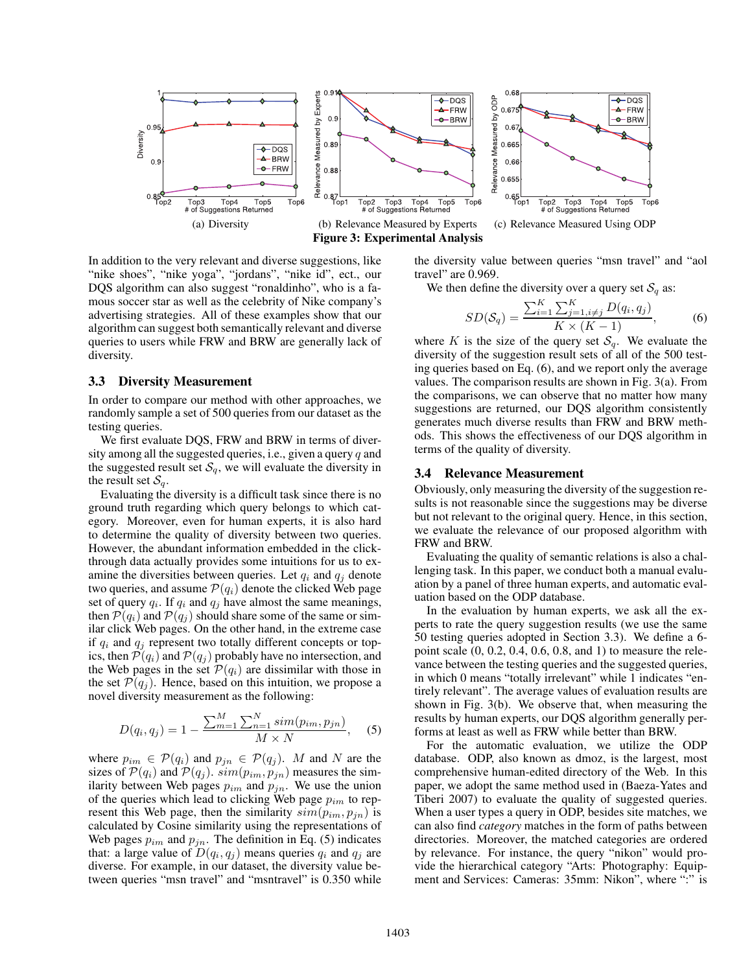

In addition to the very relevant and diverse suggestions, like "nike shoes", "nike yoga", "jordans", "nike id", ect., our DQS algorithm can also suggest "ronaldinho", who is a famous soccer star as well as the celebrity of Nike company's advertising strategies. All of these examples show that our algorithm can suggest both semantically relevant and diverse queries to users while FRW and BRW are generally lack of diversity.

#### 3.3 Diversity Measurement

In order to compare our method with other approaches, we randomly sample a set of 500 queries from our dataset as the testing queries.

We first evaluate DQS, FRW and BRW in terms of diversity among all the suggested queries, i.e., given a query  $q$  and the suggested result set  $S_q$ , we will evaluate the diversity in the result set  $S_a$ .

Evaluating the diversity is a difficult task since there is no ground truth regarding which query belongs to which category. Moreover, even for human experts, it is also hard to determine the quality of diversity between two queries. However, the abundant information embedded in the clickthrough data actually provides some intuitions for us to examine the diversities between queries. Let  $q_i$  and  $q_j$  denote two queries, and assume  $P(q_i)$  denote the clicked Web page set of query  $q_i$ . If  $q_i$  and  $q_j$  have almost the same meanings, then  $\mathcal{P}(q_i)$  and  $\mathcal{P}(q_j)$  should share some of the same or similar click Web pages. On the other hand, in the extreme case if  $q_i$  and  $q_j$  represent two totally different concepts or topics, then  $\mathcal{P}(q_i)$  and  $\mathcal{P}(q_j)$  probably have no intersection, and the Web pages in the set  $\mathcal{P}(q_i)$  are dissimilar with those in the set  $\mathcal{P}(q_i)$ . Hence, based on this intuition, we propose a novel diversity measurement as the following:

$$
D(q_i, q_j) = 1 - \frac{\sum_{m=1}^{M} \sum_{n=1}^{N} sim(p_{im}, p_{jn})}{M \times N}, \quad (5)
$$

where  $p_{im} \in \mathcal{P}(q_i)$  and  $p_{jn} \in \mathcal{P}(q_j)$ . M and N are the sizes of  $\mathcal{P}(q_i)$  and  $\mathcal{P}(q_j)$ .  $sim(p_{im}, p_{jn})$  measures the similarity between Web pages  $p_{im}$  and  $p_{jn}$ . We use the union of the queries which lead to clicking Web page  $p_{im}$  to represent this Web page, then the similarity  $sim(p_{im}, p_{jn})$  is calculated by Cosine similarity using the representations of Web pages  $p_{im}$  and  $p_{jn}$ . The definition in Eq. (5) indicates that: a large value of  $D(q_i, q_j)$  means queries  $q_i$  and  $q_j$  are diverse. For example, in our dataset, the diversity value between queries "msn travel" and "msntravel" is 0.350 while the diversity value between queries "msn travel" and "aol travel" are 0.969.

We then define the diversity over a query set  $S_q$  as:

$$
SD(S_q) = \frac{\sum_{i=1}^{K} \sum_{j=1, i \neq j}^{K} D(q_i, q_j)}{K \times (K - 1)},
$$
 (6)

where K is the size of the query set  $S_q$ . We evaluate the diversity of the suggestion result sets of all of the 500 testing queries based on Eq. (6), and we report only the average values. The comparison results are shown in Fig. 3(a). From the comparisons, we can observe that no matter how many suggestions are returned, our DQS algorithm consistently generates much diverse results than FRW and BRW methods. This shows the effectiveness of our DQS algorithm in terms of the quality of diversity.

#### 3.4 Relevance Measurement

Obviously, only measuring the diversity of the suggestion results is not reasonable since the suggestions may be diverse but not relevant to the original query. Hence, in this section, we evaluate the relevance of our proposed algorithm with FRW and BRW.

Evaluating the quality of semantic relations is also a challenging task. In this paper, we conduct both a manual evaluation by a panel of three human experts, and automatic evaluation based on the ODP database.

In the evaluation by human experts, we ask all the experts to rate the query suggestion results (we use the same 50 testing queries adopted in Section 3.3). We define a 6 point scale (0, 0.2, 0.4, 0.6, 0.8, and 1) to measure the relevance between the testing queries and the suggested queries, in which 0 means "totally irrelevant" while 1 indicates "entirely relevant". The average values of evaluation results are shown in Fig. 3(b). We observe that, when measuring the results by human experts, our DQS algorithm generally performs at least as well as FRW while better than BRW.

For the automatic evaluation, we utilize the ODP database. ODP, also known as dmoz, is the largest, most comprehensive human-edited directory of the Web. In this paper, we adopt the same method used in (Baeza-Yates and Tiberi 2007) to evaluate the quality of suggested queries. When a user types a query in ODP, besides site matches, we can also find *category* matches in the form of paths between directories. Moreover, the matched categories are ordered by relevance. For instance, the query "nikon" would provide the hierarchical category "Arts: Photography: Equipment and Services: Cameras: 35mm: Nikon", where ":" is